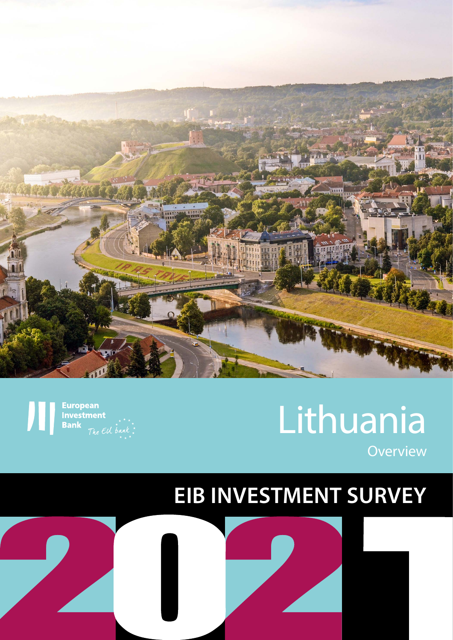

**European Investment**<br>**Bank** 

# Lithuania **Overview**

# **EIB INVESTMENT SURVEY**

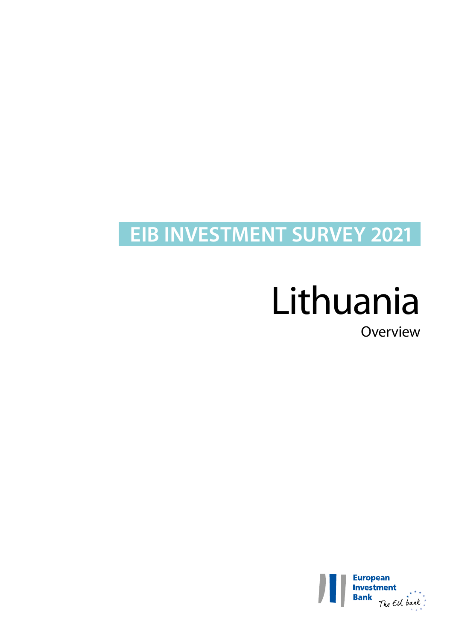# **EIB INVESTMENT SURVEY 2021**

# Lithuania

Overview

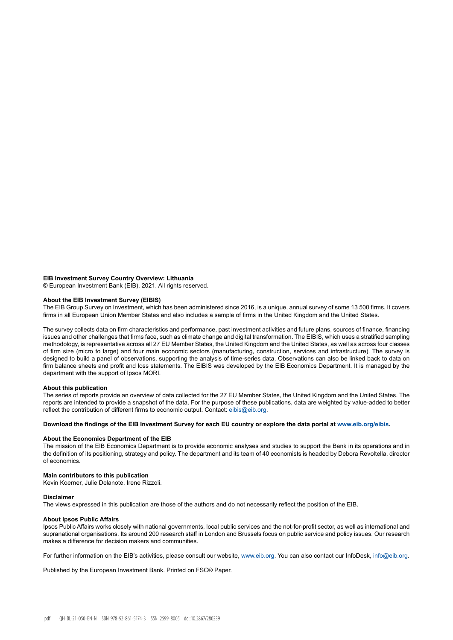#### **EIB Investment Survey Country Overview: Lithuania**

© European Investment Bank (EIB), 2021. All rights reserved.

#### **About the EIB Investment Survey (EIBIS)**

The EIB Group Survey on Investment, which has been administered since 2016, is a unique, annual survey of some 13 500 firms. It covers firms in all European Union Member States and also includes a sample of firms in the United Kingdom and the United States.

The survey collects data on firm characteristics and performance, past investment activities and future plans, sources of finance, financing issues and other challenges that firms face, such as climate change and digital transformation. The EIBIS, which uses a stratified sampling methodology, is representative across all 27 EU Member States, the United Kingdom and the United States, as well as across four classes of firm size (micro to large) and four main economic sectors (manufacturing, construction, services and infrastructure). The survey is designed to build a panel of observations, supporting the analysis of time-series data. Observations can also be linked back to data on firm balance sheets and profit and loss statements. The EIBIS was developed by the EIB Economics Department. It is managed by the department with the support of Ipsos MORI.

#### **About this publication**

The series of reports provide an overview of data collected for the 27 EU Member States, the United Kingdom and the United States. The reports are intended to provide a snapshot of the data. For the purpose of these publications, data are weighted by value-added to better reflect the contribution of different firms to economic output. Contact: eibis@eib.org.

#### **Download the findings of the EIB Investment Survey for each EU country or explore the data portal at www.eib.org/eibis.**

#### **About the Economics Department of the EIB**

The mission of the EIB Economics Department is to provide economic analyses and studies to support the Bank in its operations and in the definition of its positioning, strategy and policy. The department and its team of 40 economists is headed by Debora Revoltella, director of economics.

#### **Main contributors to this publication**

Kevin Koerner, Julie Delanote, Irene Rizzoli.

#### **Disclaimer**

The views expressed in this publication are those of the authors and do not necessarily reflect the position of the EIB.

#### **About Ipsos Public Affairs**

Ipsos Public Affairs works closely with national governments, local public services and the not-for-profit sector, as well as international and supranational organisations. Its around 200 research staff in London and Brussels focus on public service and policy issues. Our research makes a difference for decision makers and communities.

For further information on the EIB's activities, please consult our website, [www.eib.org](http://www.eib.org). You can also contact our InfoDesk, [info@eib.org](http://info@eib.org).

Published by the European Investment Bank. Printed on FSC® Paper.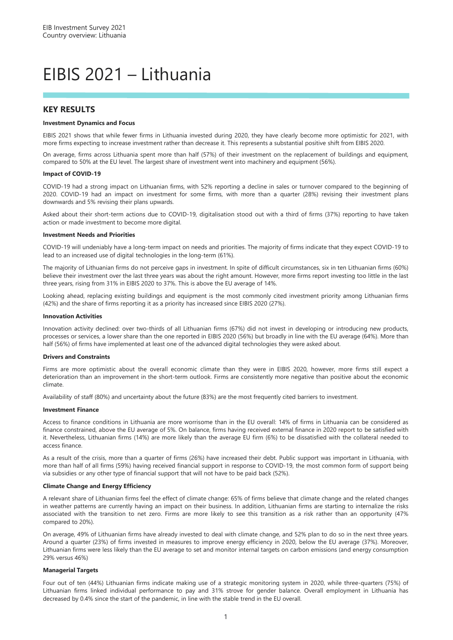### EIBIS 2021 – Lithuania

#### **KEY RESULTS**

#### **Investment Dynamics and Focus**

EIBIS 2021 shows that while fewer firms in Lithuania invested during 2020, they have clearly become more optimistic for 2021, with more firms expecting to increase investment rather than decrease it. This represents a substantial positive shift from EIBIS 2020.

On average, firms across Lithuania spent more than half (57%) of their investment on the replacement of buildings and equipment, compared to 50% at the EU level. The largest share of investment went into machinery and equipment (56%).

#### **Impact of COVID-19**

COVID-19 had a strong impact on Lithuanian firms, with 52% reporting a decline in sales or turnover compared to the beginning of 2020. COVID-19 had an impact on investment for some firms, with more than a quarter (28%) revising their investment plans downwards and 5% revising their plans upwards.

Asked about their short-term actions due to COVID-19, digitalisation stood out with a third of firms (37%) reporting to have taken action or made investment to become more digital.

#### **Investment Needs and Priorities**

COVID-19 will undeniably have a long-term impact on needs and priorities. The majority of firms indicate that they expect COVID-19 to lead to an increased use of digital technologies in the long-term (61%).

The majority of Lithuanian firms do not perceive gaps in investment. In spite of difficult circumstances, six in ten Lithuanian firms (60%) believe their investment over the last three years was about the right amount. However, more firms report investing too little in the last three years, rising from 31% in EIBIS 2020 to 37%. This is above the EU average of 14%.

Looking ahead, replacing existing buildings and equipment is the most commonly cited investment priority among Lithuanian firms (42%) and the share of firms reporting it as a priority has increased since EIBIS 2020 (27%).

#### **Innovation Activities**

Innovation activity declined: over two-thirds of all Lithuanian firms (67%) did not invest in developing or introducing new products, processes or services, a lower share than the one reported in EIBIS 2020 (56%) but broadly in line with the EU average (64%). More than half (56%) of firms have implemented at least one of the advanced digital technologies they were asked about.

#### **Drivers and Constraints**

Firms are more optimistic about the overall economic climate than they were in EIBIS 2020, however, more firms still expect a deterioration than an improvement in the short-term outlook. Firms are consistently more negative than positive about the economic climate.

Availability of staff (80%) and uncertainty about the future (83%) are the most frequently cited barriers to investment.

#### **Investment Finance**

Access to finance conditions in Lithuania are more worrisome than in the EU overall: 14% of firms in Lithuania can be considered as finance constrained, above the EU average of 5%. On balance, firms having received external finance in 2020 report to be satisfied with it. Nevertheless, Lithuanian firms (14%) are more likely than the average EU firm (6%) to be dissatisfied with the collateral needed to access finance.

As a result of the crisis, more than a quarter of firms (26%) have increased their debt. Public support was important in Lithuania, with more than half of all firms (59%) having received financial support in response to COVID-19, the most common form of support being via subsidies or any other type of financial support that will not have to be paid back (52%).

#### **Climate Change and Energy Efficiency**

A relevant share of Lithuanian firms feel the effect of climate change: 65% of firms believe that climate change and the related changes in weather patterns are currently having an impact on their business. In addition, Lithuanian firms are starting to internalize the risks associated with the transition to net zero. Firms are more likely to see this transition as a risk rather than an opportunity (47% compared to 20%).

On average, 49% of Lithuanian firms have already invested to deal with climate change, and 52% plan to do so in the next three years. Around a quarter (23%) of firms invested in measures to improve energy efficiency in 2020, below the EU average (37%). Moreover, Lithuanian firms were less likely than the EU average to set and monitor internal targets on carbon emissions (and energy consumption 29% versus 46%)

#### **Managerial Targets**

Four out of ten (44%) Lithuanian firms indicate making use of a strategic monitoring system in 2020, while three-quarters (75%) of Lithuanian firms linked individual performance to pay and 31% strove for gender balance. Overall employment in Lithuania has decreased by 0.4% since the start of the pandemic, in line with the stable trend in the EU overall.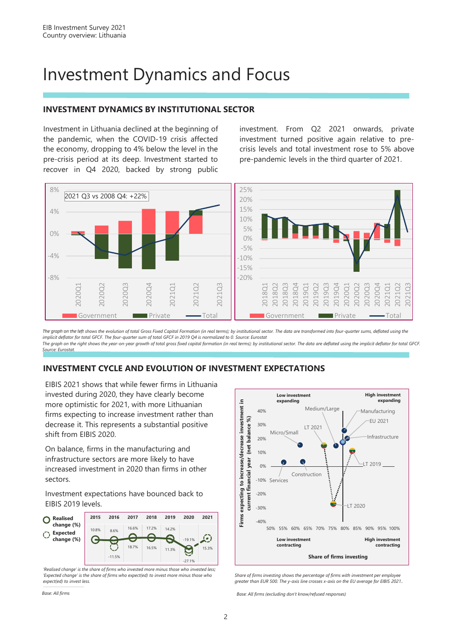### Investment Dynamics and Focus

#### **INVESTMENT DYNAMICS BY INSTITUTIONAL SECTOR**

Investment in Lithuania declined at the beginning of the pandemic, when the COVID-19 crisis affected the economy, dropping to 4% below the level in the pre-crisis period at its deep. Investment started to recover in Q4 2020, backed by strong public investment. From Q2 2021 onwards, private investment turned positive again relative to precrisis levels and total investment rose to 5% above pre-pandemic levels in the third quarter of 2021.



*The graph on the left shows the evolution of total Gross Fixed Capital Formation (in real terms); by institutional sector. The data are transformed into four-quarter sums, deflated using the implicit deflator for total GFCF. The four-quarter sum of total GFCF in 2019 Q4 is normalized to 0. Source: Eurostat The graph on the right shows the year-on-year growth of total gross fixed capital formation (in real terms); by institutional sector. The data are deflated using the implicit deflator for total GFCF. Source: Eurostat.*

#### **INVESTMENT CYCLE AND EVOLUTION OF INVESTMENT EXPECTATIONS**

EIBIS 2021 shows that while fewer firms in Lithuania invested during 2020, they have clearly become more optimistic for 2021, with more Lithuanian firms expecting to increase investment rather than decrease it. This represents a substantial positive shift from EIBIS 2020.

On balance, firms in the manufacturing and infrastructure sectors are more likely to have increased investment in 2020 than firms in other sectors.

Investment expectations have bounced back to EIBIS 2019 levels.



*'Realised change' is the share of firms who invested more minus those who invested less; 'Expected change' is the share of firms who expect(ed) to invest more minus those who expect(ed) to invest less.*



*Share of firms investing shows the percentage of firms with investment per employee greater than EUR 500. The y-axis line crosses x-axis on the EU average for EIBIS 2021..*

*Base: All firms Base: All firms (excluding don't know/refused responses)*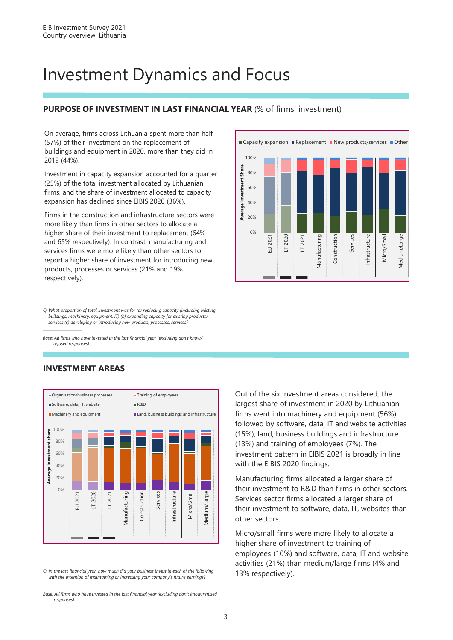### Investment Dynamics and Focus

#### **PURPOSE OF INVESTMENT IN LAST FINANCIAL YEAR** (% of firms' investment)

On average, firms across Lithuania spent more than half (57%) of their investment on the replacement of buildings and equipment in 2020, more than they did in 2019 (44%).

Investment in capacity expansion accounted for a quarter (25%) of the total investment allocated by Lithuanian firms, and the share of investment allocated to capacity expansion has declined since EIBIS 2020 (36%).

Firms in the construction and infrastructure sectors were more likely than firms in other sectors to allocate a higher share of their investment to replacement (64% and 65% respectively). In contrast, manufacturing and services firms were more likely than other sectors to report a higher share of investment for introducing new products, processes or services (21% and 19% respectively).

■ Capacity expansion ■ Replacement ■ New products/services ■ Other 100% **Average Investment Share Average Investment Share** 80% 60% 40% 20% 0% Manufacturing LT 2020 LT 2021 Construction Medium/Large EU 2021 Manufacturing **Construction** Services Infrastructure Infrastructure Vicro/Small Micro/Small Medium/Large

*Q. What proportion of total investment was for (a) replacing capacity (including existing buildings, machinery, equipment, IT) (b) expanding capacity for existing products/ services (c) developing or introducing new products, processes, services?*

*Base: All firms who have invested in the last financial year (excluding don't know/ refused responses)*

#### **INVESTMENT AREAS**



*Q. In the last financial year, how much did your business invest in each of the following with the intention of maintaining or increasing your company's future earnings?*

Out of the six investment areas considered, the largest share of investment in 2020 by Lithuanian firms went into machinery and equipment (56%), followed by software, data, IT and website activities (15%), land, business buildings and infrastructure (13%) and training of employees (7%). The investment pattern in EIBIS 2021 is broadly in line with the EIBIS 2020 findings.

Manufacturing firms allocated a larger share of their investment to R&D than firms in other sectors. Services sector firms allocated a larger share of their investment to software, data, IT, websites than other sectors.

Micro/small firms were more likely to allocate a higher share of investment to training of employees (10%) and software, data, IT and website activities (21%) than medium/large firms (4% and 13% respectively).

*Base: All firms who have invested in the last financial year (excluding don't know/refused responses)*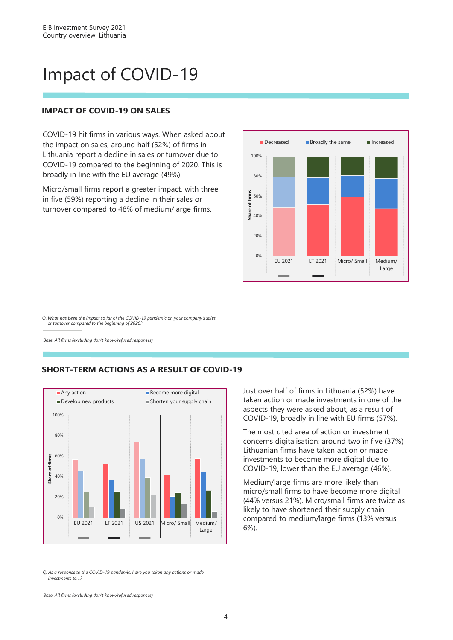### Impact of COVID-19

#### **IMPACT OF COVID-19 ON SALES**

COVID-19 hit firms in various ways. When asked about the impact on sales, around half (52%) of firms in Lithuania report a decline in sales or turnover due to COVID-19 compared to the beginning of 2020. This is broadly in line with the EU average (49%).

Micro/small firms report a greater impact, with three in five (59%) reporting a decline in their sales or turnover compared to 48% of medium/large firms.



*Q. What has been the impact so far of the COVID-19 pandemic on your company's sales or turnover compared to the beginning of 2020?*

*Base: All firms (excluding don't know/refused responses)*

#### **SHORT-TERM ACTIONS AS A RESULT OF COVID-19**



*Q. As a response to the COVID-19 pandemic, have you taken any actions or made investments to…?*

*Base: All firms (excluding don't know/refused responses)*

Just over half of firms in Lithuania (52%) have taken action or made investments in one of the aspects they were asked about, as a result of COVID-19, broadly in line with EU firms (57%).

The most cited area of action or investment concerns digitalisation: around two in five (37%) Lithuanian firms have taken action or made investments to become more digital due to COVID-19, lower than the EU average (46%).

Medium/large firms are more likely than micro/small firms to have become more digital (44% versus 21%). Micro/small firms are twice as likely to have shortened their supply chain compared to medium/large firms (13% versus 6%).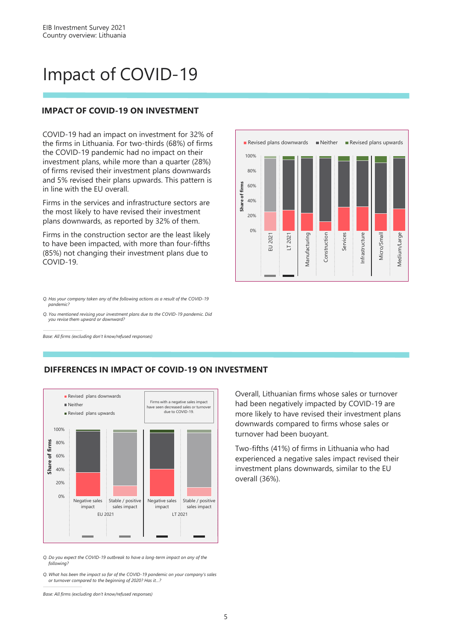### Impact of COVID-19

#### **IMPACT OF COVID-19 ON INVESTMENT**

COVID-19 had an impact on investment for 32% of the firms in Lithuania. For two-thirds (68%) of firms the COVID-19 pandemic had no impact on their investment plans, while more than a quarter (28%) of firms revised their investment plans downwards and 5% revised their plans upwards. This pattern is in line with the EU overall.

Firms in the services and infrastructure sectors are the most likely to have revised their investment plans downwards, as reported by 32% of them.

Firms in the construction sector are the least likely to have been impacted, with more than four-fifths (85%) not changing their investment plans due to COVID-19.



*Q. Has your company taken any of the following actions as a result of the COVID-19 pandemic?*

*Q. You mentioned revising your investment plans due to the COVID-19 pandemic. Did you revise them upward or downward?*

*Base: All firms (excluding don't know/refused responses)*



**DIFFERENCES IN IMPACT OF COVID-19 ON INVESTMENT**

*Q. Do you expect the COVID-19 outbreak to have a long-term impact on any of the following?*

*Q. What has been the impact so far of the COVID-19 pandemic on your company's sales or turnover compared to the beginning of 2020? Has it…?*

*Base: All firms (excluding don't know/refused responses)*

Overall, Lithuanian firms whose sales or turnover had been negatively impacted by COVID-19 are more likely to have revised their investment plans downwards compared to firms whose sales or turnover had been buoyant.

Two-fifths (41%) of firms in Lithuania who had experienced a negative sales impact revised their investment plans downwards, similar to the EU overall (36%).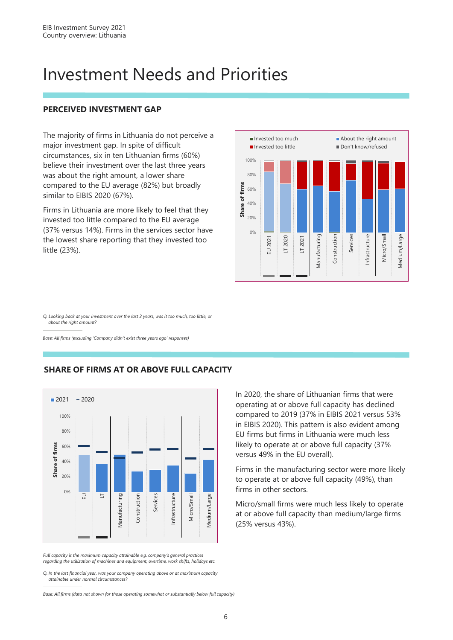### Investment Needs and Priorities

#### **PERCEIVED INVESTMENT GAP**

The majority of firms in Lithuania do not perceive a major investment gap. In spite of difficult circumstances, six in ten Lithuanian firms (60%) believe their investment over the last three years was about the right amount, a lower share compared to the EU average (82%) but broadly similar to EIBIS 2020 (67%).

Firms in Lithuania are more likely to feel that they invested too little compared to the EU average (37% versus 14%). Firms in the services sector have the lowest share reporting that they invested too little (23%).



*Q. Looking back at your investment over the last 3 years, was it too much, too little, or about the right amount?*

*Base: All firms (excluding 'Company didn't exist three years ago' responses)*



#### **SHARE OF FIRMS AT OR ABOVE FULL CAPACITY**

*Full capacity is the maximum capacity attainable e.g. company's general practices regarding the utilization of machines and equipment, overtime, work shifts, holidays etc.*

*Q. In the last financial year, was your company operating above or at maximum capacity attainable under normal circumstances?*

*Base: All firms (data not shown for those operating somewhat or substantially below full capacity)*

In 2020, the share of Lithuanian firms that were operating at or above full capacity has declined compared to 2019 (37% in EIBIS 2021 versus 53% in EIBIS 2020). This pattern is also evident among EU firms but firms in Lithuania were much less likely to operate at or above full capacity (37% versus 49% in the EU overall).

Firms in the manufacturing sector were more likely to operate at or above full capacity (49%), than firms in other sectors.

Micro/small firms were much less likely to operate at or above full capacity than medium/large firms (25% versus 43%).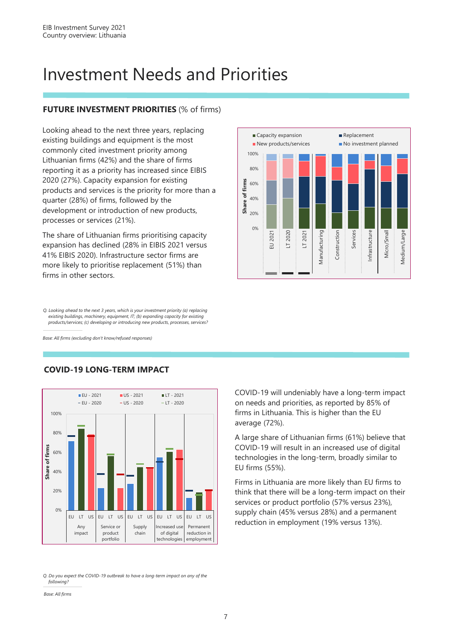### Investment Needs and Priorities

#### **FUTURE INVESTMENT PRIORITIES** (% of firms)

Looking ahead to the next three years, replacing existing buildings and equipment is the most commonly cited investment priority among Lithuanian firms (42%) and the share of firms reporting it as a priority has increased since EIBIS 2020 (27%). Capacity expansion for existing products and services is the priority for more than a quarter (28%) of firms, followed by the development or introduction of new products, processes or services (21%).

The share of Lithuanian firms prioritising capacity expansion has declined (28% in EIBIS 2021 versus 41% EIBIS 2020). Infrastructure sector firms are more likely to prioritise replacement (51%) than firms in other sectors.



*Q. Looking ahead to the next 3 years, which is your investment priority (a) replacing existing buildings, machinery, equipment, IT; (b) expanding capacity for existing products/services; (c) developing or introducing new products, processes, services?*

*Base: All firms (excluding don't know/refused responses)*



#### **COVID-19 LONG-TERM IMPACT**

*Q. Do you expect the COVID-19 outbreak to have a long-term impact on any of the following?*

COVID-19 will undeniably have a long-term impact on needs and priorities, as reported by 85% of firms in Lithuania. This is higher than the EU average (72%).

A large share of Lithuanian firms (61%) believe that COVID-19 will result in an increased use of digital technologies in the long-term, broadly similar to EU firms (55%).

Firms in Lithuania are more likely than EU firms to think that there will be a long-term impact on their services or product portfolio (57% versus 23%), supply chain (45% versus 28%) and a permanent reduction in employment (19% versus 13%).

*Base: All firms*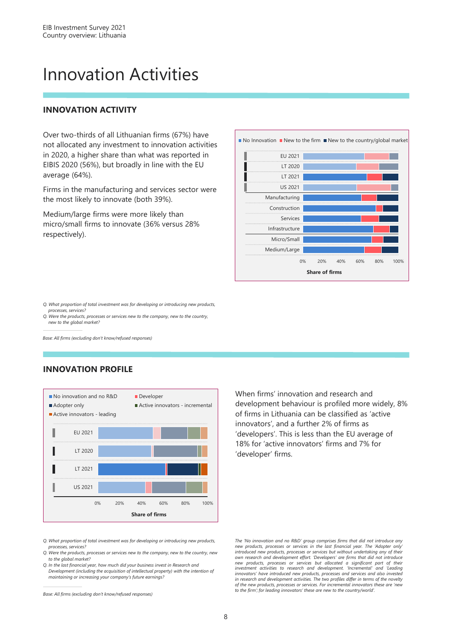### Innovation Activities

#### **INNOVATION ACTIVITY**

Over two-thirds of all Lithuanian firms (67%) have not allocated any investment to innovation activities in 2020, a higher share than what was reported in EIBIS 2020 (56%), but broadly in line with the EU average (64%).

Firms in the manufacturing and services sector were the most likely to innovate (both 39%).

Medium/large firms were more likely than micro/small firms to innovate (36% versus 28% respectively).



*Q. What proportion of total investment was for developing or introducing new products, processes, services?* 

*Q. Were the products, processes or services new to the company, new to the country, new to the global market?*

*Base: All firms (excluding don't know/refused responses)*

#### **INNOVATION PROFILE**



When firms' innovation and research and development behaviour is profiled more widely, 8% of firms in Lithuania can be classified as 'active innovators', and a further 2% of firms as 'developers'. This is less than the EU average of 18% for 'active innovators' firms and 7% for 'developer' firms.

*Q. What proportion of total investment was for developing or introducing new products, processes, services?* 

*Q. Were the products, processes or services new to the company, new to the country, new to the global market?*

*Q. In the last financial year, how much did your business invest in Research and Development (including the acquisition of intellectual property) with the intention of maintaining or increasing your company's future earnings?* 

*Base: All firms (excluding don't know/refused responses)*

*The 'No innovation and no R&D' group comprises firms that did not introduce any new products, processes or services in the last financial year. The 'Adopter only'* introduced new products, processes or services but without undertaking any of their<br>own research and development effort. 'Developers' are firms that did not introduce new products, processes or services but allocated a significant part of their<br>investment activities to research and development. 'Incremental' and 'Leading *innovators' have introduced new products, processes and services and also invested in research and development activities. The two profiles differ in terms of the novelty of the new products, processes or services. For incremental innovators these are 'new to the firm'; for leading innovators' these are new to the country/world'.*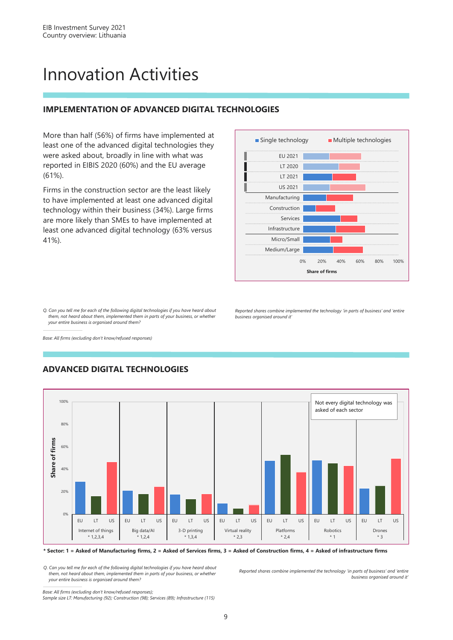### Innovation Activities

#### **IMPLEMENTATION OF ADVANCED DIGITAL TECHNOLOGIES**

More than half (56%) of firms have implemented at least one of the advanced digital technologies they were asked about, broadly in line with what was reported in EIBIS 2020 (60%) and the EU average (61%).

Firms in the construction sector are the least likely to have implemented at least one advanced digital technology within their business (34%). Large firms are more likely than SMEs to have implemented at least one advanced digital technology (63% versus 41%).



*Reported shares combine implemented the technology 'in parts of business' and 'entire* 

*Q. Can you tell me for each of the following digital technologies if you have heard about them, not heard about them, implemented them in parts of your business, or whether your entire business is organised around them?*

*business organised around it'*

*Base: All firms (excluding don't know/refused responses)*



#### **ADVANCED DIGITAL TECHNOLOGIES**

**\* Sector: 1 = Asked of Manufacturing firms, 2 = Asked of Services firms, 3 = Asked of Construction firms, 4 = Asked of infrastructure firms**

*Q. Can you tell me for each of the following digital technologies if you have heard about them, not heard about them, implemented them in parts of your business, or whether your entire business is organised around them?*

*Reported shares combine implemented the technology 'in parts of business' and 'entire business organised around it'*

*Base: All firms (excluding don't know/refused responses); Sample size LT: Manufacturing (92); Construction (98); Services (89); Infrastructure (115)*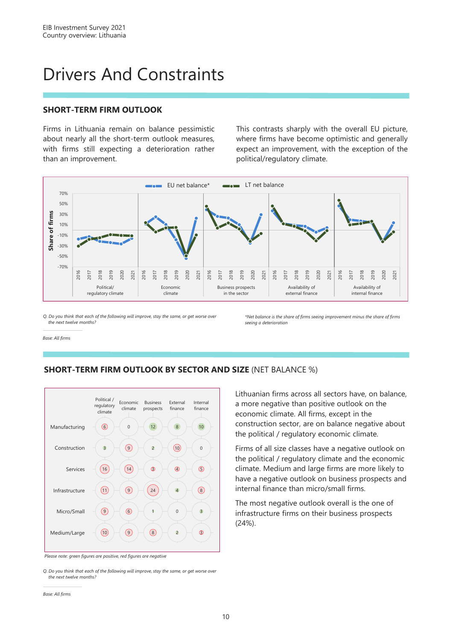### Drivers And Constraints

#### **SHORT-TERM FIRM OUTLOOK**

Firms in Lithuania remain on balance pessimistic about nearly all the short-term outlook measures, with firms still expecting a deterioration rather than an improvement.

This contrasts sharply with the overall EU picture, where firms have become optimistic and generally expect an improvement, with the exception of the political/regulatory climate.



*Q. Do you think that each of the following will improve, stay the same, or get worse over the next twelve months?*

*\*Net balance is the share of firms seeing improvement minus the share of firms seeing a deterioration*

*Base: All firms*





*Please note: green figures are positive, red figures are negative*

*Q. Do you think that each of the following will improve, stay the same, or get worse over the next twelve months?*

*Base: All firms*

Lithuanian firms across all sectors have, on balance, a more negative than positive outlook on the economic climate. All firms, except in the construction sector, are on balance negative about the political / regulatory economic climate.

Firms of all size classes have a negative outlook on the political / regulatory climate and the economic climate. Medium and large firms are more likely to have a negative outlook on business prospects and internal finance than micro/small firms.

The most negative outlook overall is the one of infrastructure firms on their business prospects (24%).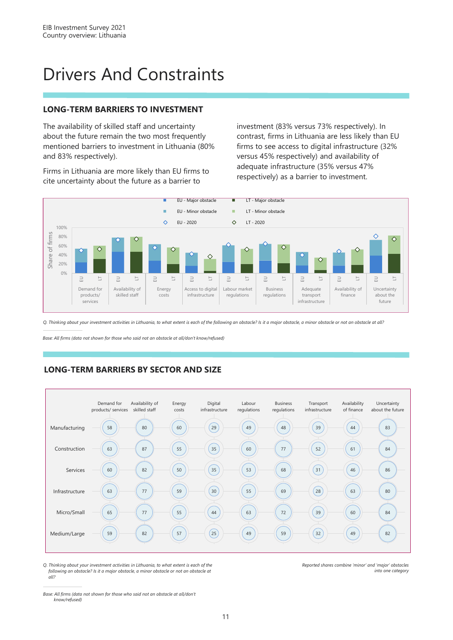### Drivers And Constraints

#### **LONG-TERM BARRIERS TO INVESTMENT**

The availability of skilled staff and uncertainty about the future remain the two most frequently mentioned barriers to investment in Lithuania (80% and 83% respectively).

Firms in Lithuania are more likely than EU firms to cite uncertainty about the future as a barrier to

investment (83% versus 73% respectively). In contrast, firms in Lithuania are less likely than EU firms to see access to digital infrastructure (32% versus 45% respectively) and availability of adequate infrastructure (35% versus 47% respectively) as a barrier to investment.



*Q. Thinking about your investment activities in Lithuania, to what extent is each of the following an obstacle? Is it a major obstacle, a minor obstacle or not an obstacle at all?*

*Base: All firms (data not shown for those who said not an obstacle at all/don't know/refused)*

#### **LONG-TERM BARRIERS BY SECTOR AND SIZE**



*Q. Thinking about your investment activities in Lithuania, to what extent is each of the following an obstacle? Is it a major obstacle, a minor obstacle or not an obstacle at all?*

*Reported shares combine 'minor' and 'major' obstacles into one category*

*Base: All firms (data not shown for those who said not an obstacle at all/don't know/refused)*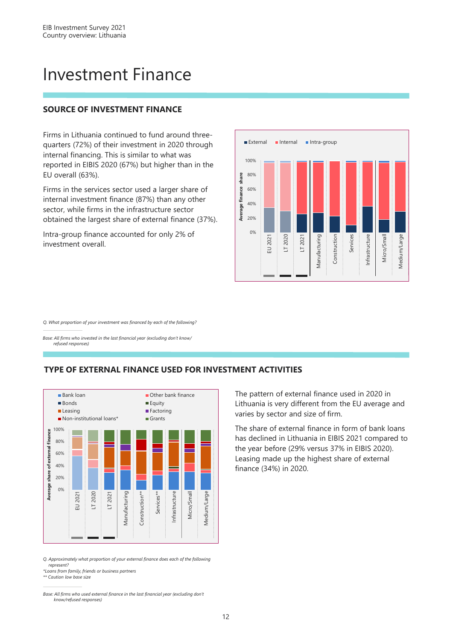### Investment Finance

#### **SOURCE OF INVESTMENT FINANCE**

Firms in Lithuania continued to fund around threequarters (72%) of their investment in 2020 through internal financing. This is similar to what was reported in EIBIS 2020 (67%) but higher than in the EU overall (63%).

Firms in the services sector used a larger share of internal investment finance (87%) than any other sector, while firms in the infrastructure sector obtained the largest share of external finance (37%).

Intra-group finance accounted for only 2% of investment overall.



*Q. What proportion of your investment was financed by each of the following?*

*Base: All firms who invested in the last financial year (excluding don't know/ refused responses)*





*Q. Approximately what proportion of your external finance does each of the following represent?*

*\*Loans from family, friends or business partners*

*\*\* Caution low base size*

*Base: All firms who used external finance in the last financial year (excluding don't know/refused responses)*

The pattern of external finance used in 2020 in Lithuania is very different from the EU average and varies by sector and size of firm.

The share of external finance in form of bank loans has declined in Lithuania in EIBIS 2021 compared to the year before (29% versus 37% in EIBIS 2020). Leasing made up the highest share of external finance (34%) in 2020.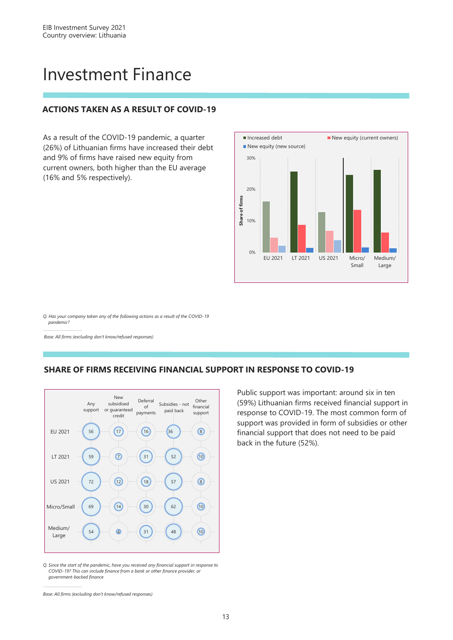### Investment Finance

#### **ACTIONS TAKEN AS A RESULT OF COVID-19**

As a result of the COVID-19 pandemic, a quarter (26%) of Lithuanian firms have increased their debt and 9% of firms have raised new equity from current owners, both higher than the EU average (16% and 5% respectively).



*Q. Has your company taken any of the following actions as a result of the COVID-19 pandemic?*

*Base: All firms (excluding don't know/refused responses)*

#### **SHARE OF FIRMS RECEIVING FINANCIAL SUPPORT IN RESPONSE TO COVID-19**



*Q. Since the start of the pandemic, have you received any financial support in response to COVID-19? This can include finance from a bank or other finance provider, or government-backed finance*

Public support was important: around six in ten (59%) Lithuanian firms received financial support in response to COVID-19. The most common form of support was provided in form of subsidies or other financial support that does not need to be paid back in the future (52%).

*Base: All firms (excluding don't know/refused responses)*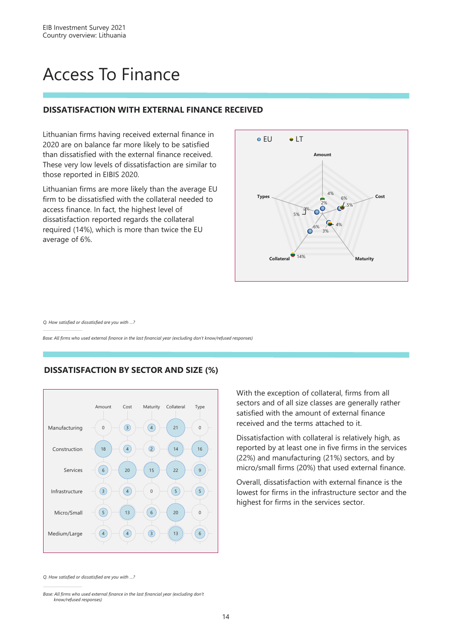### Access To Finance

#### **DISSATISFACTION WITH EXTERNAL FINANCE RECEIVED**

Lithuanian firms having received external finance in 2020 are on balance far more likely to be satisfied than dissatisfied with the external finance received. These very low levels of dissatisfaction are similar to those reported in EIBIS 2020.

Lithuanian firms are more likely than the average EU firm to be dissatisfied with the collateral needed to access finance. In fact, the highest level of dissatisfaction reported regards the collateral required (14%), which is more than twice the EU average of 6%.



*Q. How satisfied or dissatisfied are you with …?*

*Base: All firms who used external finance in the last financial year (excluding don't know/refused responses)* 

#### $\theta$ 18 6 3 5  $\overline{4}$ 3  $\Delta$  $20$ 4 13 4 4  $\sqrt{2}$ 15  $\Omega$ 6  $\left(3\right)$  $21$  $14$ 22  $\left(5\right)$  $20$ 13  $\theta$ 16 9  $\sqrt{5}$  $\Omega$ 6 Manufacturing Construction Services Infrastructure Micro/Small Medium/Large Amount Cost Maturity Collateral Type

**DISSATISFACTION BY SECTOR AND SIZE (%)**

With the exception of collateral, firms from all sectors and of all size classes are generally rather satisfied with the amount of external finance received and the terms attached to it.

Dissatisfaction with collateral is relatively high, as reported by at least one in five firms in the services (22%) and manufacturing (21%) sectors, and by micro/small firms (20%) that used external finance.

Overall, dissatisfaction with external finance is the lowest for firms in the infrastructure sector and the highest for firms in the services sector.

*Q. How satisfied or dissatisfied are you with …?*

*Base: All firms who used external finance in the last financial year (excluding don't know/refused responses)*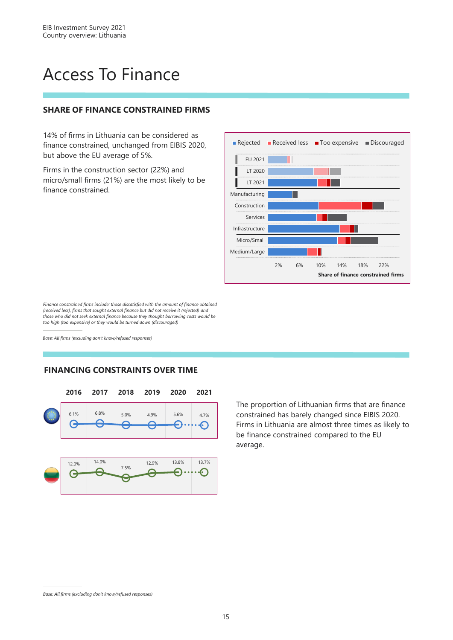### Access To Finance

#### **SHARE OF FINANCE CONSTRAINED FIRMS**

14% of firms in Lithuania can be considered as finance constrained, unchanged from EIBIS 2020, but above the EU average of 5%.

Firms in the construction sector (22%) and micro/small firms (21%) are the most likely to be finance constrained.



*Finance constrained firms include: those dissatisfied with the amount of finance obtained (received less), firms that sought external finance but did not receive it (rejected) and those who did not seek external finance because they thought borrowing costs would be too high (too expensive) or they would be turned down (discouraged)*

*Base: All firms (excluding don't know/refused responses)*

#### **FINANCING CONSTRAINTS OVER TIME**



The proportion of Lithuanian firms that are finance constrained has barely changed since EIBIS 2020. Firms in Lithuania are almost three times as likely to be finance constrained compared to the EU average.

*Base: All firms (excluding don't know/refused responses)*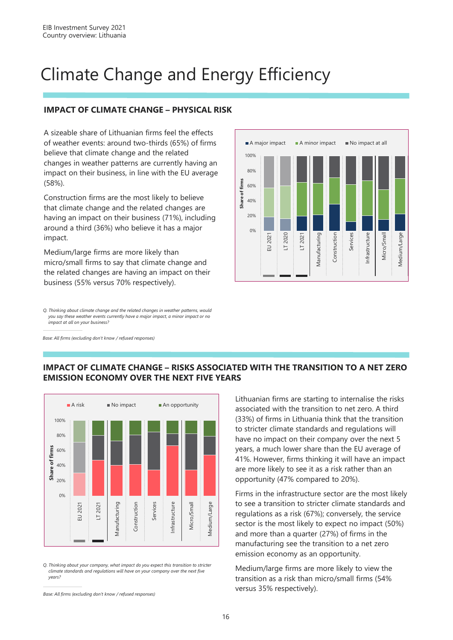### Climate Change and Energy Efficiency

#### **IMPACT OF CLIMATE CHANGE – PHYSICAL RISK**

A sizeable share of Lithuanian firms feel the effects of weather events: around two-thirds (65%) of firms believe that climate change and the related changes in weather patterns are currently having an impact on their business, in line with the EU average (58%).

Construction firms are the most likely to believe that climate change and the related changes are having an impact on their business (71%), including around a third (36%) who believe it has a major impact.

Medium/large firms are more likely than micro/small firms to say that climate change and the related changes are having an impact on their business (55% versus 70% respectively).

*Q. Thinking about climate change and the related changes in weather patterns, would you say these weather events currently have a major impact, a minor impact or no impact at all on your business?* 

*Base: All firms (excluding don't know / refused responses)*



#### **IMPACT OF CLIMATE CHANGE – RISKS ASSOCIATED WITH THE TRANSITION TO A NET ZERO EMISSION ECONOMY OVER THE NEXT FIVE YEARS**



*Q. Thinking about your company, what impact do you expect this transition to stricter climate standards and regulations will have on your company over the next five years?*

Lithuanian firms are starting to internalise the risks associated with the transition to net zero. A third (33%) of firms in Lithuania think that the transition to stricter climate standards and regulations will have no impact on their company over the next 5 years, a much lower share than the EU average of 41%. However, firms thinking it will have an impact are more likely to see it as a risk rather than an opportunity (47% compared to 20%).

Firms in the infrastructure sector are the most likely to see a transition to stricter climate standards and regulations as a risk (67%); conversely, the service sector is the most likely to expect no impact (50%) and more than a quarter (27%) of firms in the manufacturing see the transition to a net zero emission economy as an opportunity.

Medium/large firms are more likely to view the transition as a risk than micro/small firms (54% versus 35% respectively).

*Base: All firms (excluding don't know / refused responses)*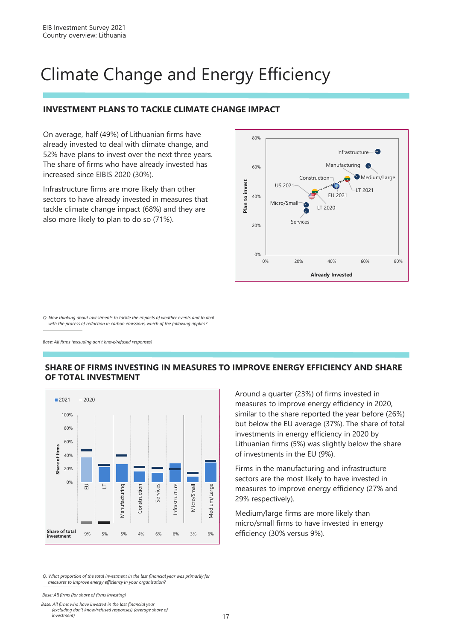### Climate Change and Energy Efficiency

#### **INVESTMENT PLANS TO TACKLE CLIMATE CHANGE IMPACT**

On average, half (49%) of Lithuanian firms have already invested to deal with climate change, and 52% have plans to invest over the next three years. The share of firms who have already invested has increased since EIBIS 2020 (30%).

Infrastructure firms are more likely than other sectors to have already invested in measures that tackle climate change impact (68%) and they are also more likely to plan to do so (71%).



*Q. Now thinking about investments to tackle the impacts of weather events and to deal with the process of reduction in carbon emissions, which of the following applies?*

*Base: All firms (excluding don't know/refused responses)*

#### **SHARE OF FIRMS INVESTING IN MEASURES TO IMPROVE ENERGY EFFICIENCY AND SHARE OF TOTAL INVESTMENT**



Around a quarter (23%) of firms invested in measures to improve energy efficiency in 2020, similar to the share reported the year before (26%) but below the EU average (37%). The share of total investments in energy efficiency in 2020 by Lithuanian firms (5%) was slightly below the share of investments in the EU (9%).

Firms in the manufacturing and infrastructure sectors are the most likely to have invested in measures to improve energy efficiency (27% and 29% respectively).

Medium/large firms are more likely than micro/small firms to have invested in energy efficiency (30% versus 9%).

*Q. What proportion of the total investment in the last financial year was primarily for measures to improve energy efficiency in your organisation?*

*Base: All firms (for share of firms investing)*

*Base: All firms who have invested in the last financial year (excluding don't know/refused responses) (average share of investment)*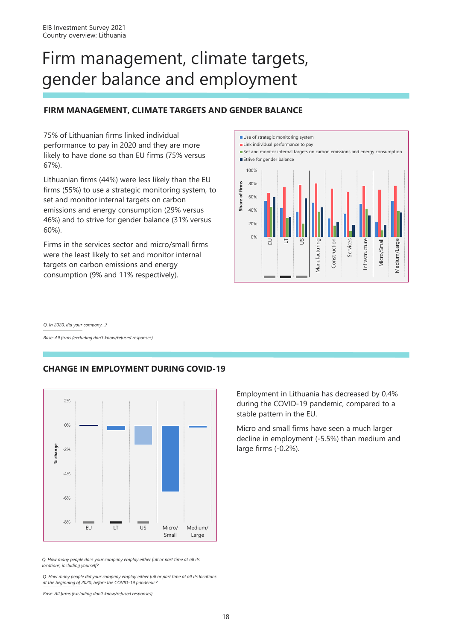### Firm management, climate targets, gender balance and employment

#### **FIRM MANAGEMENT, CLIMATE TARGETS AND GENDER BALANCE**

75% of Lithuanian firms linked individual performance to pay in 2020 and they are more likely to have done so than EU firms (75% versus 67%).

Lithuanian firms (44%) were less likely than the EU firms (55%) to use a strategic monitoring system, to set and monitor internal targets on carbon emissions and energy consumption (29% versus 46%) and to strive for gender balance (31% versus 60%).

Firms in the services sector and micro/small firms were the least likely to set and monitor internal targets on carbon emissions and energy consumption (9% and 11% respectively).



*Q. In 2020, did your company…?*

*Base: All firms (excluding don't know/refused responses)*

#### **CHANGE IN EMPLOYMENT DURING COVID-19**



*Q. How many people does your company employ either full or part time at all its locations, including yourself?*

*Q. How many people did your company employ either full or part time at all its locations at the beginning of 2020, before the COVID-19 pandemic?* 

*Base: All firms (excluding don't know/refused responses)*

Employment in Lithuania has decreased by 0.4% during the COVID-19 pandemic, compared to a stable pattern in the EU.

Micro and small firms have seen a much larger decline in employment (-5.5%) than medium and large firms (-0.2%).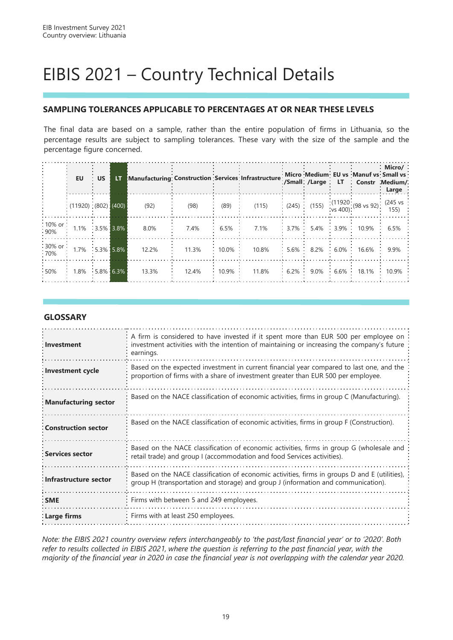### EIBIS 2021 – Country Technical Details

#### **SAMPLING TOLERANCES APPLICABLE TO PERCENTAGES AT OR NEAR THESE LEVELS**

The final data are based on a sample, rather than the entire population of firms in Lithuania, so the percentage results are subject to sampling tolerances. These vary with the size of the sample and the percentage figure concerned.

|                   | <b>EU</b>                 | <b>US</b> | LT.           | Manufacturing: Construction : Services : Infrastructure |       |          |       |                         | Micro Medium EU vs Manuf vs Small vs<br>:/Small:/Large : LT : Constr :Medium/: | $\cdot$ Micro/ $\cdot$<br>Large |
|-------------------|---------------------------|-----------|---------------|---------------------------------------------------------|-------|----------|-------|-------------------------|--------------------------------------------------------------------------------|---------------------------------|
|                   | $(11920)$ $(802)$ $(400)$ |           |               | (92)                                                    | (98)  | (89)     | (115) |                         | $(245)$ (155) $(11920)(98 \text{ vs } 92)$ (245 vs                             |                                 |
| :10% or:<br>:90%  | $1.1\%$ $3.5\%$ 3.8%      |           |               | 8.0%                                                    | 7.4%  | $6.5\%$  | 7.1%  |                         | $3.7\%$ 5.4% 3.9% 10.9% 6.5%                                                   |                                 |
| :30% or:<br>:70%  | $1.7\%$ : 5.3% 5.8%       |           |               | 12.2%                                                   | 11.3% | $10.0\%$ | 10.8% |                         | $: 5.6\% : 8.2\% : 6.0\% : 16.6\% : 9.9\%$                                     |                                 |
| $\frac{1}{2}50\%$ | 1.8%                      |           | $:5.8\%$ 6.3% | 13.3%                                                   | 12.4% | $10.9\%$ | 11.8% | $6.2\%$ 9.0% 6.6% 18.1% |                                                                                | $10.9\%$                        |

#### **GLOSSARY**

| Investment                 | A firm is considered to have invested if it spent more than EUR 500 per employee on<br>investment activities with the intention of maintaining or increasing the company's future<br>earnings. |
|----------------------------|------------------------------------------------------------------------------------------------------------------------------------------------------------------------------------------------|
| : Investment cycle         | Based on the expected investment in current financial year compared to last one, and the<br>proportion of firms with a share of investment greater than EUR 500 per employee.                  |
| : Manufacturing sector     | Based on the NACE classification of economic activities, firms in group C (Manufacturing).                                                                                                     |
| <b>Construction sector</b> | Based on the NACE classification of economic activities, firms in group F (Construction).                                                                                                      |
| <b>Services sector</b>     | Based on the NACE classification of economic activities, firms in group G (wholesale and<br>retail trade) and group I (accommodation and food Services activities).                            |
| Infrastructure sector      | Based on the NACE classification of economic activities, firms in groups D and E (utilities),<br>group H (transportation and storage) and group J (information and communication).             |
| : SME                      | Firms with between 5 and 249 employees.                                                                                                                                                        |
| : Large firms              | Firms with at least 250 employees.                                                                                                                                                             |

*Note: the EIBIS 2021 country overview refers interchangeably to 'the past/last financial year' or to '2020'. Both refer to results collected in EIBIS 2021, where the question is referring to the past financial year, with the majority of the financial year in 2020 in case the financial year is not overlapping with the calendar year 2020.*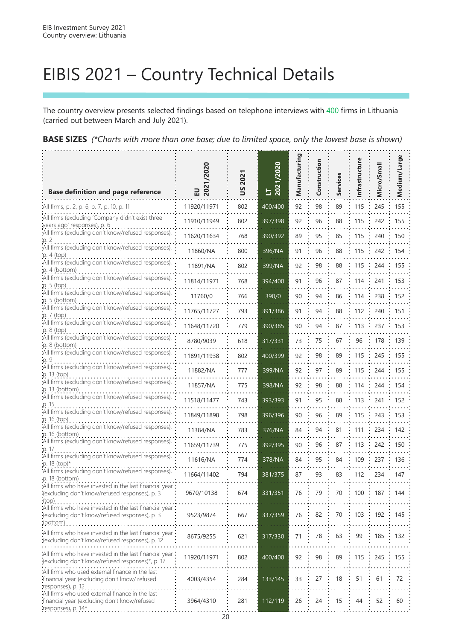### EIBIS 2021 – Country Technical Details

The country overview presents selected findings based on telephone interviews with 400 firms in Lithuania (carried out between March and July 2021).

**BASE SIZES** *(\*Charts with more than one base; due to limited space, only the lowest base is shown)*

| <b>Base definition and page reference</b>                                                                             | 2021/2020<br>믒 | 2021<br>Š | 2020<br>$17$<br>$2021$ | Manufacturing | Construction | Services | nfrastructure | Micro/Small | Medium/Large |
|-----------------------------------------------------------------------------------------------------------------------|----------------|-----------|------------------------|---------------|--------------|----------|---------------|-------------|--------------|
| All firms, p. 2, p. 6, p. 7, p. 10, p. 11                                                                             | 11920/11971    | 802       | 400/400                | 92            | 98           | 89       | 115           | 245         | 155          |
| All firms (excluding 'Company didn't exist three<br>years ago' responses), p. 6                                       | 11910/11949    | 802       | 397/398                | 92            | 96           | 88       | 115           | 242         | 155          |
| All firms (excluding don't know/refused responses),                                                                   | 11620/11634    | 768       | 390/392                | 89            | 95           | 85       | 115           | 240         | 150          |
| All firms (excluding don't know/refused responses),<br>p. 4 (top)                                                     | 11860/NA       | 800       | 396/NA                 | 91            | 96           | 88       | 115           | 242         | 154          |
| All firms (excluding don't know/refused responses),<br>$p.4$ (bottom)                                                 | 11891/NA       | 802       | 399/NA                 | 92            | 98           | 88       | 115           | 244         | 155          |
| All firms (excluding don't know/refused responses),                                                                   | 11814/11971    | 768       | 394/400                | 91            | 96           | 87       | 114           | 241         | 153          |
| p. 5 (top)<br>All firms (excluding don't know/refused responses),                                                     | 11760/0        | 766       | 390/0                  | 90            | 94           | 86       | 114           | 238         | 152          |
| p. 5 (bottom)<br>All firms (excluding don't know/refused responses),                                                  | 11765/11727    | 793       | 391/386                | 91            | 94           | 88       | 112           | 240         | 151          |
| $p.7$ (top)<br>All firms (excluding don't know/refused responses),                                                    | 11648/11720    | 779       | 390/385                | 90            | 94           | 87       | 113           | 237         | 153          |
| $p. 8$ (top)<br>All firms (excluding don't know/refused responses),                                                   | 8780/9039      | 618       | 317/331                | 73            | 75           | 67       | 96            | 178         | 139          |
| p. 8 (bottom)<br>All firms (excluding don't know/refused responses),                                                  | 11891/11938    | 802       | 400/399                | 92            | 98           | 89       | 115           | 245         | 155          |
| All firms (excluding don't know/refused responses),                                                                   | 11882/NA       | 777       | 399/NA                 | 92            | 97           | 89       | 115           | 244         | 155          |
| p. 13 (top)<br>All firms (excluding don't know/refused responses),                                                    | 11857/NA       | 775       | 398/NA                 | 92            | 98           | 88       | 114           | 244         | 154          |
| p. 13 (bottom)<br>All firms (excluding don't know/refused responses),                                                 | 11518/11477    | 743       | 393/393                | 91            | 95           | 88       | 113           | 241         | 152          |
| p. 15<br>All firms (excluding don't know/refused responses),                                                          | 11849/11898    | 798       | 396/396                | 90            | 96           | 89       | 115           | 243         | 153          |
| p. 16 (top)<br>All firms (excluding don't know/refused responses),                                                    | 11384/NA       | 783       | 376/NA                 | 84            | 94           | 81       | 111           | 234         | 142          |
| p. 16 (bottom)<br>All firms (excluding don't know/refused responses),                                                 | 11659/11739    | 775       | 392/395                | 90            | 96           | 87       | 113           | 242         | 150          |
| p. 17<br>All firms (excluding don't know/refused responses),                                                          |                |           |                        |               |              | 84       |               |             |              |
| p. 18 (top)*<br>All firms (excluding don't know/refused responses),                                                   | 11616/NA       | 774       | 378/NA                 | 84            | 95           |          | 109           | 237         | 136          |
| p. 18 (bottom)<br>All firms who have invested in the last financial year:                                             | 11664/11402    | 794       | 381/375                | 87            | 93           | 83       | 112           | 234         | 147          |
| (excluding don't know/refused responses), p. 3<br>(top)                                                               | 9670/10138     | 674       | 331/351                | 76            | 79           | 70       | 100           | 187         | 144          |
| All firms who have invested in the last financial year<br>(excluding don't know/refused responses), p. 3<br>(bottom)  | 9523/9874      | 667       | 337/359                | 76            | 82           | 70       | 103           | 192         | 145          |
| All firms who have invested in the last financial year<br>(excluding don't know/refused responses), p. 12             | 8675/9255      | 621       | 317/330                | 71            | 78           | 63       | 99            | 185         | 132          |
| All firms who have invested in the last financial year<br>(excluding don't know/refused responses)*, p. 17            | 11920/11971    | 802       | 400/400                | 92            | 98           | 89       | 115           | 245         | 155          |
| All firms who used external finance in the last<br>financial year (excluding don't know/ refused<br>responses), p. 12 | 4003/4354      | 284       | 133/145                | 33            | 27           | 18       | 51            | 61          | 72           |
| All firms who used external finance in the last<br>financial year (excluding don't know/refused<br>responses), p. 14* | 3964/4310      | 281       | 112/119                | 26            | 24           | 15       | 44            | 52          | 60           |

20